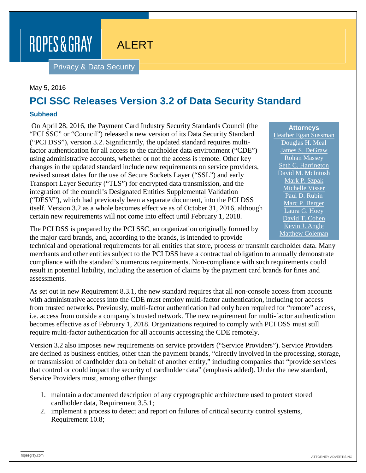ALERT

Privacy & Data Security

## May 5, 2016

ROPES & GRAY

## **PCI SSC Releases Version 3.2 of Data Security Standard**

## **Subhead**

On April 28, 2016, the Payment Card Industry Security Standards Council (the "PCI SSC" or "Council") released a new version of its Data Security Standard ("PCI DSS"), version 3.2. Significantly, the updated standard requires multifactor authentication for all access to the cardholder data environment ("CDE") using administrative accounts, whether or not the access is remote. Other key changes in the updated standard include new requirements on service providers, revised sunset dates for the use of Secure Sockets Layer ("SSL") and early Transport Layer Security ("TLS") for encrypted data transmission, and the integration of the council's Designated Entities Supplemental Validation ("DESV"), which had previously been a separate document, into the PCI DSS itself. Version 3.2 as a whole becomes effective as of October 31, 2016, although certain new requirements will not come into effect until February 1, 2018.

The PCI DSS is prepared by the PCI SSC, an organization originally formed by the major card brands, and, according to the brands, is intended to provide

technical and operational requirements for all entities that store, process or transmit cardholder data. Many merchants and other entities subject to the PCI DSS have a contractual obligation to annually demonstrate compliance with the standard's numerous requirements. Non-compliance with such requirements could result in potential liability, including the assertion of claims by the payment card brands for fines and assessments.

As set out in new Requirement 8.3.1, the new standard requires that all non-console access from accounts with administrative access into the CDE must employ multi-factor authentication, including for access from trusted networks. Previously, multi-factor authentication had only been required for "remote" access, i.e. access from outside a company's trusted network. The new requirement for multi-factor authentication becomes effective as of February 1, 2018. Organizations required to comply with PCI DSS must still require multi-factor authentication for all accounts accessing the CDE remotely.

Version 3.2 also imposes new requirements on service providers ("Service Providers"). Service Providers are defined as business entities, other than the payment brands, "directly involved in the processing, storage, or transmission of cardholder data on behalf of another entity," including companies that "provide services that control or could impact the security of cardholder data" (emphasis added). Under the new standard, Service Providers must, among other things:

- 1. maintain a documented description of any cryptographic architecture used to protect stored cardholder data, Requirement 3.5.1;
- 2. implement a process to detect and report on failures of critical security control systems, Requirement 10.8;

**Attorneys** [Heather Egan Sussman](https://www.ropesgray.com/biographies/s/heather-egan-sussman.aspx) [Douglas H. Meal](https://www.ropesgray.com/biographies/m/douglas-h-meal.aspx) [James S. DeGraw](https://www.ropesgray.com/biographies/d/james-s-degraw.aspx) [Rohan Massey](https://www.ropesgray.com/biographies/m/rohan-massey.aspx) [Seth C. Harrington](https://www.ropesgray.com/biographies/h/seth-c-harrington.aspx) [David M. McIntosh](https://www.ropesgray.com/biographies/m/McIntosh-David.aspx) [Mark P. Szpak](https://www.ropesgray.com/biographies/s/mark-p-szpak.aspx) [Michelle Visser](https://www.ropesgray.com/biographies/v/michelle-visser.aspx) [Paul D. Rubin](https://www.ropesgray.com/biographies/r/paul-d-rubin.aspx) [Marc P. Berger](https://www.ropesgray.com/biographies/b/Marc-Berger.aspx) [Laura G. Hoey](https://www.ropesgray.com/biographies/h/laura-g-hoey.aspx) [David T. Cohen](https://www.ropesgray.com/biographies/c/david-t-cohen.aspx) [Kevin J. Angle](https://www.ropesgray.com/biographies/a/kevin-j-angle.aspx) [Matthew Coleman](https://www.ropesgray.com/biographies/c/matthew-coleman.aspx)